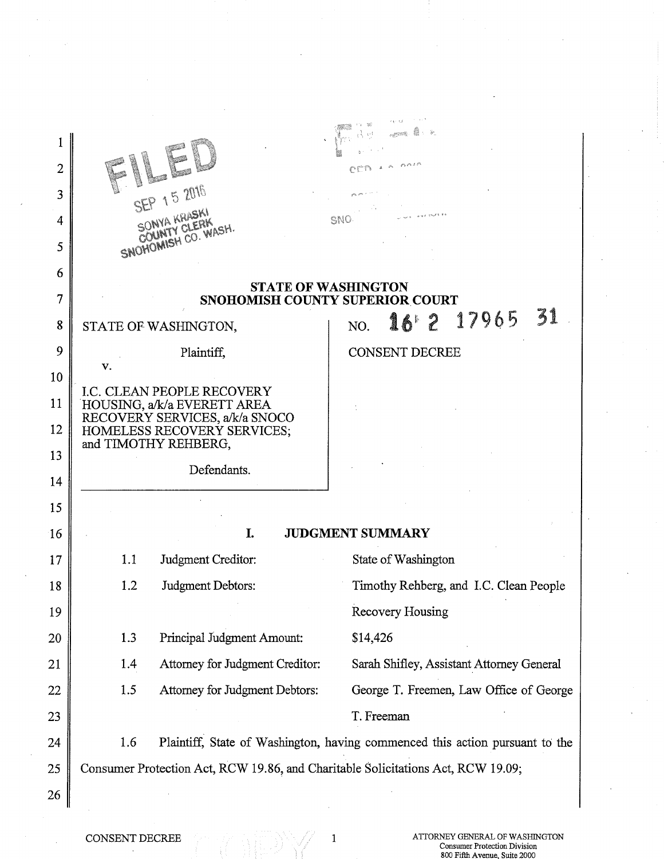| 2  |                                                                                     |                                           |
|----|-------------------------------------------------------------------------------------|-------------------------------------------|
| 3  | 15 2016                                                                             |                                           |
| 4  | SONYA KRASKI<br><b>COUNTY CLERK</b>                                                 | SNO                                       |
| 5  | SNOTIOMISH CO. WASH.                                                                |                                           |
| 6  | <b>STATE OF WASHINGTON</b>                                                          |                                           |
| 7  | <b>SNOHOMISH COUNTY SUPERIOR COURT</b>                                              |                                           |
| 8  | STATE OF WASHINGTON,                                                                | 16 2 17965 31<br>NO.                      |
| 9  | Plaintiff,<br>v.                                                                    | <b>CONSENT DECREE</b>                     |
| 10 | <b>I.C. CLEAN PEOPLE RECOVERY</b>                                                   |                                           |
| 11 | HOUSING, a/k/a EVERETT AREA<br>RECOVERY SERVICES, a/k/a SNOCO                       |                                           |
| 12 | HOMELESS RECOVERY SERVICES;<br>and TIMOTHY REHBERG,                                 |                                           |
| 13 | Defendants.                                                                         |                                           |
| 14 |                                                                                     |                                           |
| 15 |                                                                                     |                                           |
| 16 | I.                                                                                  | <b>JUDGMENT SUMMARY</b>                   |
| 17 | 1.1<br>Judgment Creditor:                                                           | State of Washington                       |
| 18 | Judgment Debtors:<br>1.2                                                            | Timothy Rehberg, and I.C. Clean People    |
| 19 |                                                                                     | <b>Recovery Housing</b>                   |
| 20 | 1.3<br>Principal Judgment Amount:                                                   | \$14,426                                  |
| 21 | Attorney for Judgment Creditor:<br>1.4                                              | Sarah Shifley, Assistant Attorney General |
| 22 | 1.5<br>Attorney for Judgment Debtors:                                               | George T. Freemen, Law Office of George   |
| 23 |                                                                                     | T. Freeman                                |
| 24 | Plaintiff, State of Washington, having commenced this action pursuant to the<br>1.6 |                                           |
| 25 | Consumer Protection Act, RCW 19.86, and Charitable Solicitations Act, RCW 19.09;    |                                           |
| 26 |                                                                                     |                                           |
|    |                                                                                     |                                           |

 $\ddot{\phantom{a}}$ 

**CONSENT DECREE 1** ATTORNEY GENERAL OF WASHINGTON **CONSENT DECREE** 800 Fifth Avenue, Suite 2000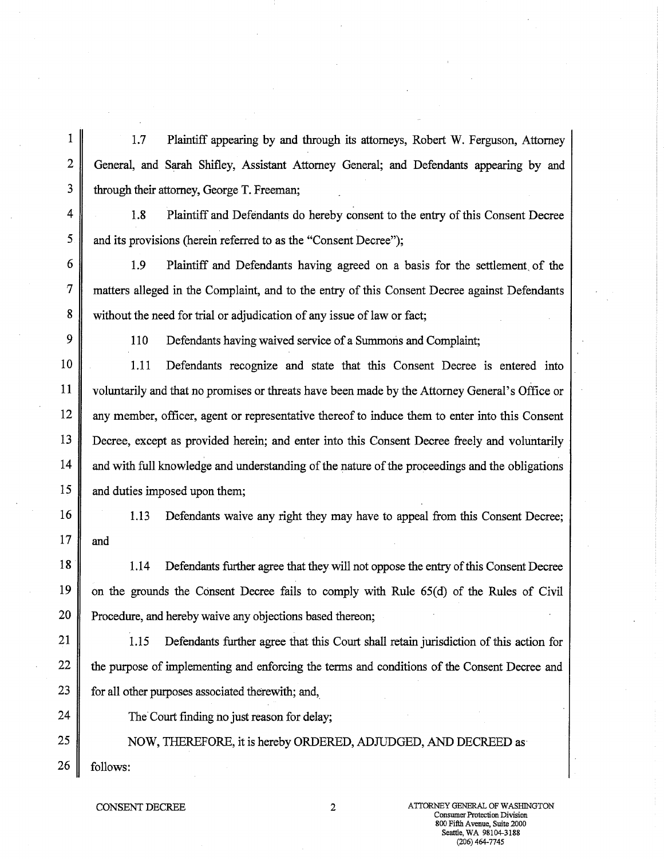1 1.7 Plaintiff appearing by and through its attorneys, Robert W. Ferguson, Attorney 2 General, and Sarah Shifley, Assistant Attorney General; and Defendants appearing by and  $3 \parallel$  through their attorney, George T. Freeman;

4 1.8 Plaintiff and Defendants do hereby consent to the entry of this Consent Decree 5 and its provisions (herein referred to as the "Consent Decree");

6 1.9 Plaintiff and Defendants having agreed on a basis for the settlement, of the 7 matters alleged in the Complaint, and to the entry of this Consent Decree against Defendants 8 without the need for trial or adjudication of any issue of law or fact;

9 | 110 Defendants having waived service of a Summons and Complaint;

10 1.11 Defendants recognize and state that this Consent Decree is entered into 11 voluntarily and that no promises or threats have been made by the Attorney General's Office or 12 any member, officer, agent or representative thereof to induce them to enter into this Consent 13 Decree, except as provided herein; and enter into this Consent Decree freely and voluntarily 14 and with full knowledge and understanding of the nature of the proceedings and the obligations 15 and duties imposed upon them;

16 1.13 Defendants waive any right they may have to appeal from this Consent Decree; 17  $\parallel$  and

18 18 1.14 Defendants further agree that they will not oppose the entry of this Consent Decree 19 on the grounds the Consent Decree fails to comply with Rule 65(d) of the Rules of Civil 20 **Procedure**, and hereby waive any objections based thereon;

21 | 1.15 Defendants further agree that this Court shall retain jurisdiction of this action for 22 the purpose of implementing and enforcing the terms and conditions of the Consent Decree and 23 for all other purposes associated therewith; and,

24  $\parallel$  The Court finding no just reason for delay;

25 NOW, THEREFORE, it is hereby ORDERED, ADJUDGED, AND DECREED as  $26$  | follows: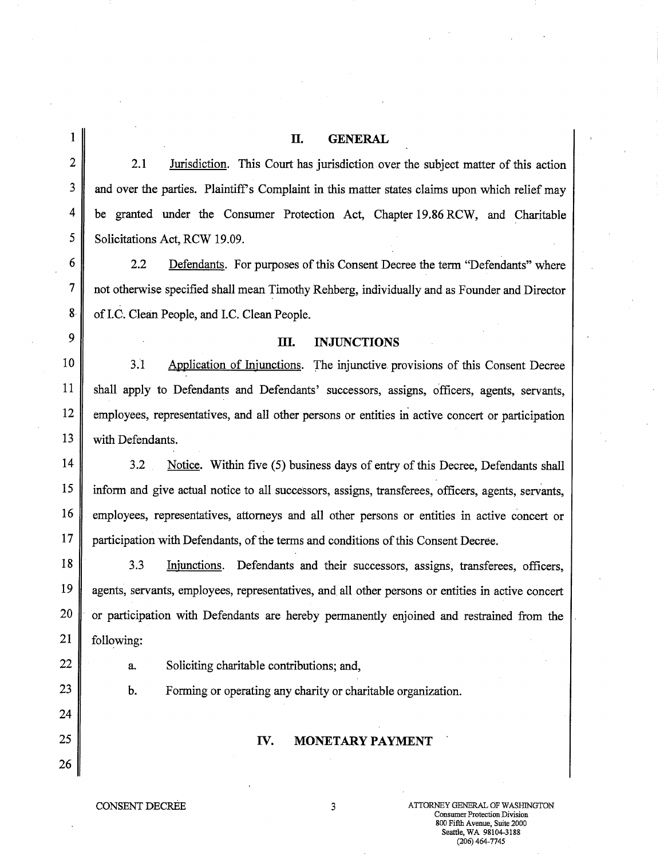## **II.** GENERAL

2 2.1 Jurisdiction. This Court has jurisdiction over the subject matter of this action 3 and over the parties. Plaintiff's Complaint in this matter states claims upon which relief may 4 be granted under the Consumer Protection Act, Chapter 19.86 RCW, and Charitable 5 Solicitations Act, RCW 19.09.

6 2.2 Defendants. For purposes of this Consent Decree the term "Defendants" where 7 not otherwise specified shall mean Timothy Rehberg, individually and as Founder and Director 8 of I.C. Clean People, and I.C. Clean People.

## 9 **III. INJUNCTIONS**

10 3.1 Application of Injunctions. The injunctive provisions of this Consent Decree 11 shall apply to Defendants and Defendants' successors, assigns, officers, agents, servants, 12 employees, representatives, and all other persons or entities in active concert or participation 13 | with Defendants.

14 3.2 Notice. Within five (5) business days of entry of this Decree, Defendants shall 15 inform and give actual notice to all successors, assigns, transferees, officers, agents, servants, 16 employees, representatives, attorneys and all other persons or entities in active concert or 17 participation with Defendants, of the terms and conditions of this Consent Decree.

18 3.3 Injunctions. Defendants and their successors, assigns, transferees, officers, 19 agents, servants, employees, representatives, and all other persons or entities in active concert 20 or participation with Defendants are hereby permanently enjoined and restrained from the 21 following:

24

26

 $22 \parallel$  a. Soliciting charitable contributions; and,

23 **b.** Forming or operating any charity or charitable organization.

## 25 IV. **MONETARY PAYMENT**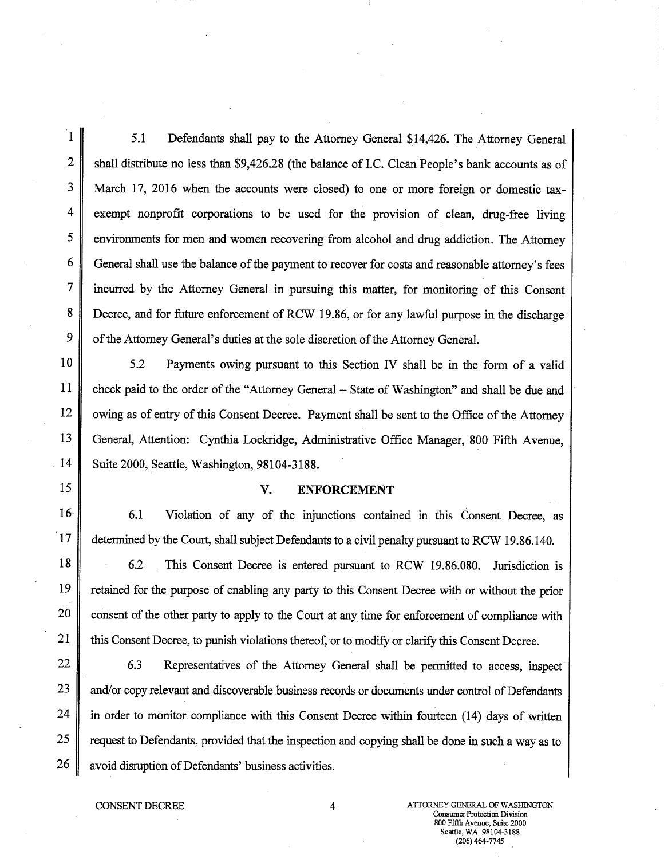1 5.1 Defendants shall pay to the Attorney General \$14,426. The Attorney General 2 shall distribute no less than \$9,426.28 (the balance of I.C. Clean People's bank accounts as of 3 March 17, 2016 when the accounts were closed) to one or more foreign or domestic tax-4 exempt nonprofit corporations to be used for the provision of clean, drug-free living 5 environments for men and women recovering from alcohol and drug addiction. The Attorney 6 General shall use the balance of the payment to recover for costs and reasonable attorney's fees 7 incurred by the Attorney General in pursuing this matter, for monitoring of this Consent 8 Decree, and for future enforcement of RCW 19.86, or for any lawful purpose in the discharge 9 of the Attorney General's duties at the sole discretion of the Attorney General.

10 5.2 Payments owing pursuant to this Section IV shall be in the form of a valid 11 check paid to the order of the "Attorney General – State of Washington" and shall be due and 12 | owing as of entry of this Consent Decree. Payment shall be sent to the Office of the Attorney 13 General, Attention: Cynthia Lockridge, Administrative Office Manager, 800 Fifth Avenue, 14 | Suite 2000, Seattle, Washington, 98104-3188.

## 15 V. **ENFORCEMENT**

16 6.1 Violation of any of the injunctions contained in this Consent Decree, as 17 determined by the Court, shall subject Defendants to a civil penalty pursuant to RCW 19.86.140.

18 6.2 This Consent Decree is entered pursuant to RCW 19.86.080. Jurisdiction is 19 retained for the purpose of enabling any party to this Consent Decree with or without the prior 20 consent of the other party to apply to the Court at any time for enforcement of compliance with 21 this Consent Decree, to punish violations thereof, or to modify or clarify this Consent Decree.

22 6.3 Representatives of the Attorney General shall be permitted to access, inspect 23 and/or copy relevant and discoverable business records or documents under control of Defendants  $24$  in order to monitor compliance with this Consent Decree within fourteen (14) days of written 25 gequest to Defendants, provided that the inspection and copying shall be done in such a way as to 26 avoid disruption of Defendants' business activities.

CONSENT DECREE 4 ATTORNEY GENERAL OF WASHINGTON Consumer Protection Division 800 Fifth Avenue, Suite 2000 Seattle, WA 98104-3188 (206) 464-7745